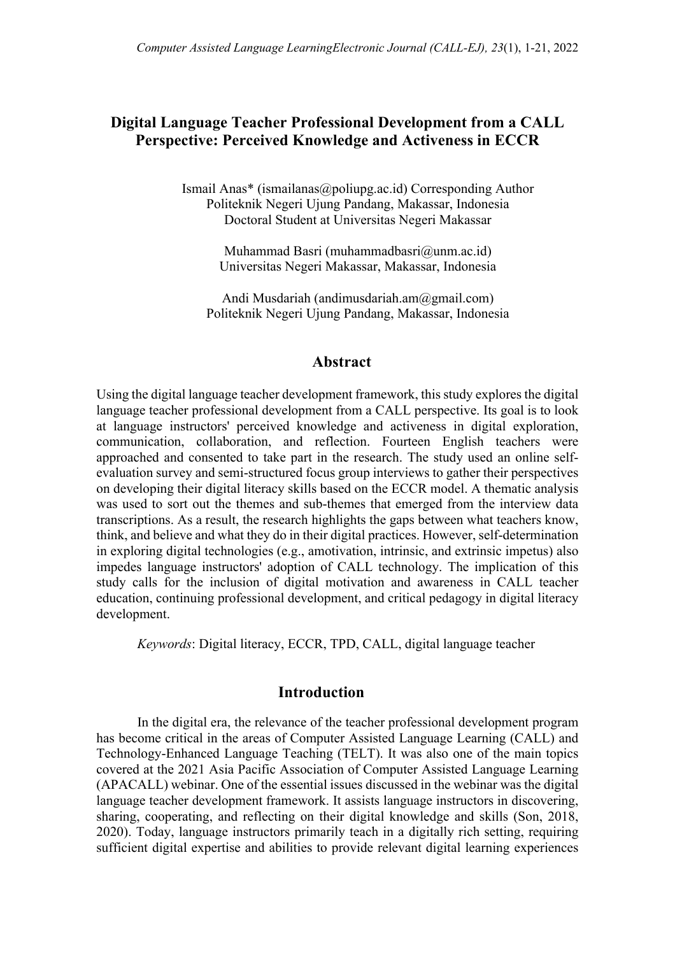# **Digital Language Teacher Professional Development from a CALL Perspective: Perceived Knowledge and Activeness in ECCR**

Ismail Anas\* (ismailanas@poliupg.ac.id) Corresponding Author Politeknik Negeri Ujung Pandang, Makassar, Indonesia Doctoral Student at Universitas Negeri Makassar

> Muhammad Basri (muhammadbasri@unm.ac.id) Universitas Negeri Makassar, Makassar, Indonesia

Andi Musdariah (andimusdariah.am@gmail.com) Politeknik Negeri Ujung Pandang, Makassar, Indonesia

# **Abstract**

Using the digital language teacher development framework, this study explores the digital language teacher professional development from a CALL perspective. Its goal is to look at language instructors' perceived knowledge and activeness in digital exploration, communication, collaboration, and reflection. Fourteen English teachers were approached and consented to take part in the research. The study used an online selfevaluation survey and semi-structured focus group interviews to gather their perspectives on developing their digital literacy skills based on the ECCR model. A thematic analysis was used to sort out the themes and sub-themes that emerged from the interview data transcriptions. As a result, the research highlights the gaps between what teachers know, think, and believe and what they do in their digital practices. However, self-determination in exploring digital technologies (e.g., amotivation, intrinsic, and extrinsic impetus) also impedes language instructors' adoption of CALL technology. The implication of this study calls for the inclusion of digital motivation and awareness in CALL teacher education, continuing professional development, and critical pedagogy in digital literacy development.

*Keywords*: Digital literacy, ECCR, TPD, CALL, digital language teacher

# **Introduction**

In the digital era, the relevance of the teacher professional development program has become critical in the areas of Computer Assisted Language Learning (CALL) and Technology-Enhanced Language Teaching (TELT). It was also one of the main topics covered at the 2021 Asia Pacific Association of Computer Assisted Language Learning (APACALL) webinar. One of the essential issues discussed in the webinar was the digital language teacher development framework. It assists language instructors in discovering, sharing, cooperating, and reflecting on their digital knowledge and skills (Son, 2018, 2020). Today, language instructors primarily teach in a digitally rich setting, requiring sufficient digital expertise and abilities to provide relevant digital learning experiences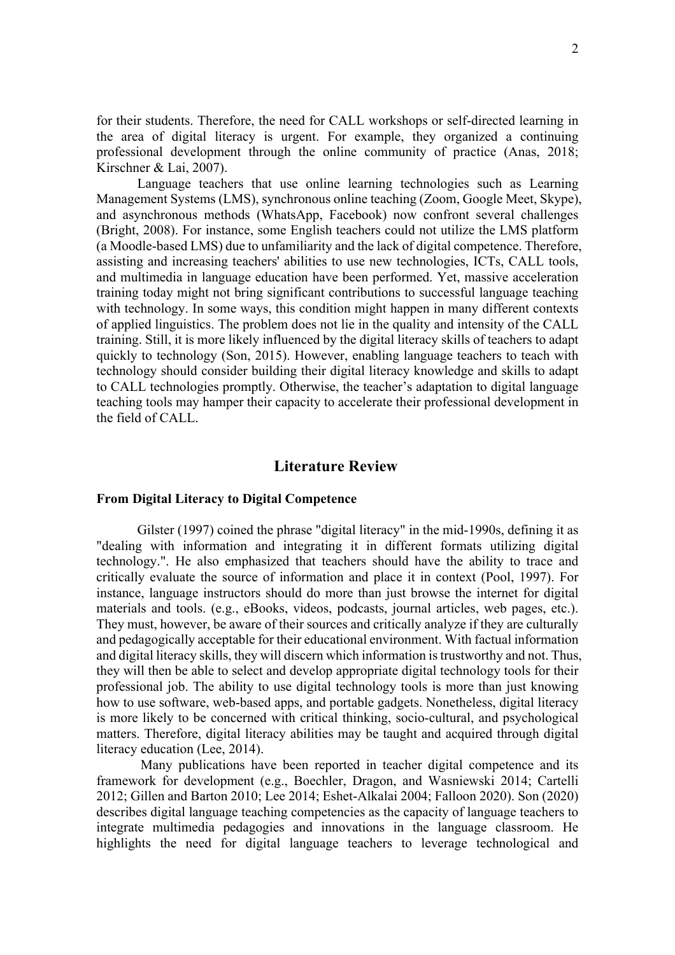for their students. Therefore, the need for CALL workshops or self-directed learning in the area of digital literacy is urgent. For example, they organized a continuing professional development through the online community of practice (Anas, 2018; Kirschner & Lai, 2007).

Language teachers that use online learning technologies such as Learning Management Systems (LMS), synchronous online teaching (Zoom, Google Meet, Skype), and asynchronous methods (WhatsApp, Facebook) now confront several challenges (Bright, 2008). For instance, some English teachers could not utilize the LMS platform (a Moodle-based LMS) due to unfamiliarity and the lack of digital competence. Therefore, assisting and increasing teachers' abilities to use new technologies, ICTs, CALL tools, and multimedia in language education have been performed. Yet, massive acceleration training today might not bring significant contributions to successful language teaching with technology. In some ways, this condition might happen in many different contexts of applied linguistics. The problem does not lie in the quality and intensity of the CALL training. Still, it is more likely influenced by the digital literacy skills of teachers to adapt quickly to technology (Son, 2015). However, enabling language teachers to teach with technology should consider building their digital literacy knowledge and skills to adapt to CALL technologies promptly. Otherwise, the teacher's adaptation to digital language teaching tools may hamper their capacity to accelerate their professional development in the field of CALL.

# **Literature Review**

#### **From Digital Literacy to Digital Competence**

Gilster (1997) coined the phrase "digital literacy" in the mid-1990s, defining it as "dealing with information and integrating it in different formats utilizing digital technology.". He also emphasized that teachers should have the ability to trace and critically evaluate the source of information and place it in context (Pool, 1997). For instance, language instructors should do more than just browse the internet for digital materials and tools. (e.g., eBooks, videos, podcasts, journal articles, web pages, etc.). They must, however, be aware of their sources and critically analyze if they are culturally and pedagogically acceptable for their educational environment. With factual information and digital literacy skills, they will discern which information is trustworthy and not. Thus, they will then be able to select and develop appropriate digital technology tools for their professional job. The ability to use digital technology tools is more than just knowing how to use software, web-based apps, and portable gadgets. Nonetheless, digital literacy is more likely to be concerned with critical thinking, socio-cultural, and psychological matters. Therefore, digital literacy abilities may be taught and acquired through digital literacy education (Lee, 2014).

Many publications have been reported in teacher digital competence and its framework for development (e.g., Boechler, Dragon, and Wasniewski 2014; Cartelli 2012; Gillen and Barton 2010; Lee 2014; Eshet-Alkalai 2004; Falloon 2020). Son (2020) describes digital language teaching competencies as the capacity of language teachers to integrate multimedia pedagogies and innovations in the language classroom. He highlights the need for digital language teachers to leverage technological and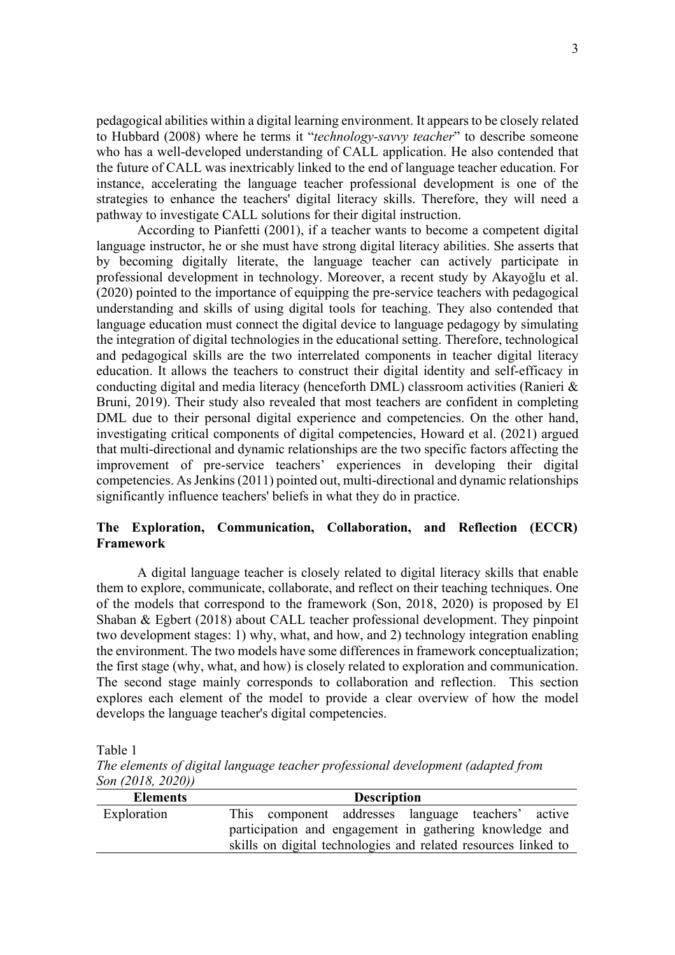pedagogical abilities within a digital learning environment. It appears to be closely related to Hubbard (2008) where he terms it "*technology-savvy teacher*" to describe someone who has a well-developed understanding of CALL application. He also contended that the future of CALL was inextricably linked to the end of language teacher education. For instance, accelerating the language teacher professional development is one of the strategies to enhance the teachers' digital literacy skills. Therefore, they will need a pathway to investigate CALL solutions for their digital instruction.

According to Pianfetti (2001), if a teacher wants to become a competent digital language instructor, he or she must have strong digital literacy abilities. She asserts that by becoming digitally literate, the language teacher can actively participate in professional development in technology. Moreover, a recent study by Akayoğlu et al. (2020) pointed to the importance of equipping the pre-service teachers with pedagogical understanding and skills of using digital tools for teaching. They also contended that language education must connect the digital device to language pedagogy by simulating the integration of digital technologies in the educational setting. Therefore, technological and pedagogical skills are the two interrelated components in teacher digital literacy education. It allows the teachers to construct their digital identity and self-efficacy in conducting digital and media literacy (henceforth DML) classroom activities (Ranieri & Bruni, 2019). Their study also revealed that most teachers are confident in completing DML due to their personal digital experience and competencies. On the other hand, investigating critical components of digital competencies, Howard et al. (2021) argued that multi-directional and dynamic relationships are the two specific factors affecting the improvement of pre-service teachers' experiences in developing their digital competencies. As Jenkins(2011) pointed out, multi-directional and dynamic relationships significantly influence teachers' beliefs in what they do in practice.

# **The Exploration, Communication, Collaboration, and Reflection (ECCR) Framework**

A digital language teacher is closely related to digital literacy skills that enable them to explore, communicate, collaborate, and reflect on their teaching techniques. One of the models that correspond to the framework (Son, 2018, 2020) is proposed by El Shaban & Egbert (2018) about CALL teacher professional development. They pinpoint two development stages: 1) why, what, and how, and 2) technology integration enabling the environment. The two models have some differences in framework conceptualization; the first stage (why, what, and how) is closely related to exploration and communication. The second stage mainly corresponds to collaboration and reflection. This section explores each element of the model to provide a clear overview of how the model develops the language teacher's digital competencies.

Table 1

*The elements of digital language teacher professional development (adapted from Son (2018, 2020))*

| <b>Elements</b> | <b>Description</b>                                             |  |  |  |  |  |  |
|-----------------|----------------------------------------------------------------|--|--|--|--|--|--|
| Exploration     | This component addresses language teachers' active             |  |  |  |  |  |  |
|                 | participation and engagement in gathering knowledge and        |  |  |  |  |  |  |
|                 | skills on digital technologies and related resources linked to |  |  |  |  |  |  |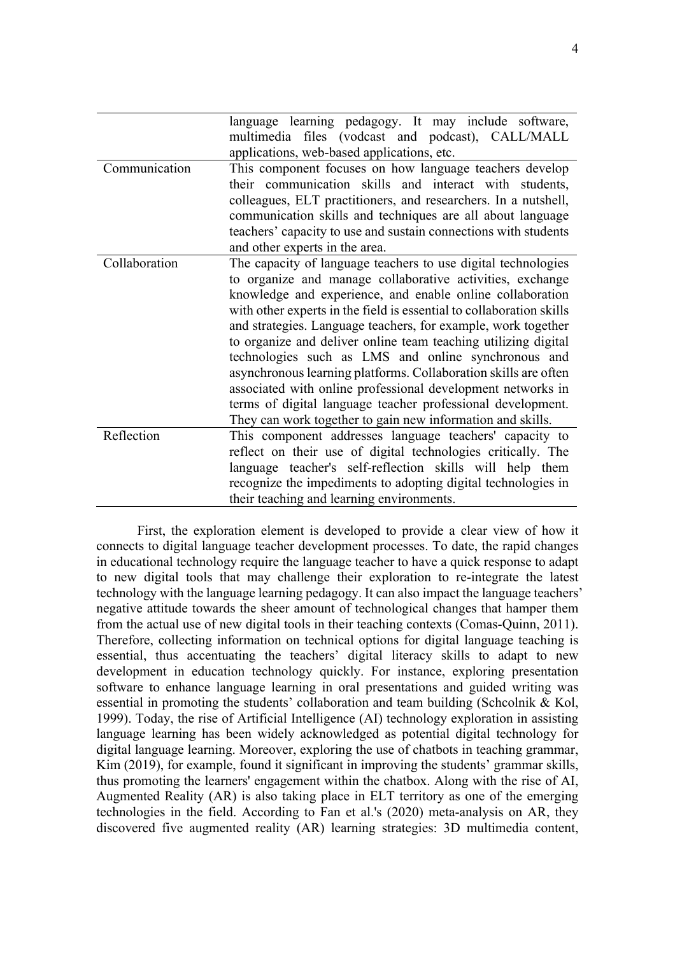|               | language learning pedagogy. It may include software,<br>multimedia files (vodcast and podcast), CALL/MALL<br>applications, web-based applications, etc. |  |  |  |  |  |  |
|---------------|---------------------------------------------------------------------------------------------------------------------------------------------------------|--|--|--|--|--|--|
| Communication | This component focuses on how language teachers develop                                                                                                 |  |  |  |  |  |  |
|               | their communication skills and interact with students,                                                                                                  |  |  |  |  |  |  |
|               | colleagues, ELT practitioners, and researchers. In a nutshell,<br>communication skills and techniques are all about language                            |  |  |  |  |  |  |
|               | teachers' capacity to use and sustain connections with students                                                                                         |  |  |  |  |  |  |
|               | and other experts in the area.                                                                                                                          |  |  |  |  |  |  |
| Collaboration | The capacity of language teachers to use digital technologies                                                                                           |  |  |  |  |  |  |
|               | to organize and manage collaborative activities, exchange                                                                                               |  |  |  |  |  |  |
|               | knowledge and experience, and enable online collaboration                                                                                               |  |  |  |  |  |  |
|               | with other experts in the field is essential to collaboration skills                                                                                    |  |  |  |  |  |  |
|               | and strategies. Language teachers, for example, work together                                                                                           |  |  |  |  |  |  |
|               | to organize and deliver online team teaching utilizing digital                                                                                          |  |  |  |  |  |  |
|               | technologies such as LMS and online synchronous and                                                                                                     |  |  |  |  |  |  |
|               | asynchronous learning platforms. Collaboration skills are often<br>associated with online professional development networks in                          |  |  |  |  |  |  |
|               |                                                                                                                                                         |  |  |  |  |  |  |
|               | terms of digital language teacher professional development.                                                                                             |  |  |  |  |  |  |
|               | They can work together to gain new information and skills.                                                                                              |  |  |  |  |  |  |
| Reflection    | This component addresses language teachers' capacity to                                                                                                 |  |  |  |  |  |  |
|               | reflect on their use of digital technologies critically. The<br>language teacher's self-reflection skills will help them                                |  |  |  |  |  |  |
|               |                                                                                                                                                         |  |  |  |  |  |  |
|               | recognize the impediments to adopting digital technologies in                                                                                           |  |  |  |  |  |  |
|               | their teaching and learning environments.                                                                                                               |  |  |  |  |  |  |

First, the exploration element is developed to provide a clear view of how it connects to digital language teacher development processes. To date, the rapid changes in educational technology require the language teacher to have a quick response to adapt to new digital tools that may challenge their exploration to re-integrate the latest technology with the language learning pedagogy. It can also impact the language teachers' negative attitude towards the sheer amount of technological changes that hamper them from the actual use of new digital tools in their teaching contexts (Comas-Quinn, 2011). Therefore, collecting information on technical options for digital language teaching is essential, thus accentuating the teachers' digital literacy skills to adapt to new development in education technology quickly. For instance, exploring presentation software to enhance language learning in oral presentations and guided writing was essential in promoting the students' collaboration and team building (Schcolnik & Kol, 1999). Today, the rise of Artificial Intelligence (AI) technology exploration in assisting language learning has been widely acknowledged as potential digital technology for digital language learning. Moreover, exploring the use of chatbots in teaching grammar, Kim (2019), for example, found it significant in improving the students' grammar skills, thus promoting the learners' engagement within the chatbox. Along with the rise of AI, Augmented Reality (AR) is also taking place in ELT territory as one of the emerging technologies in the field. According to Fan et al.'s (2020) meta-analysis on AR, they discovered five augmented reality (AR) learning strategies: 3D multimedia content,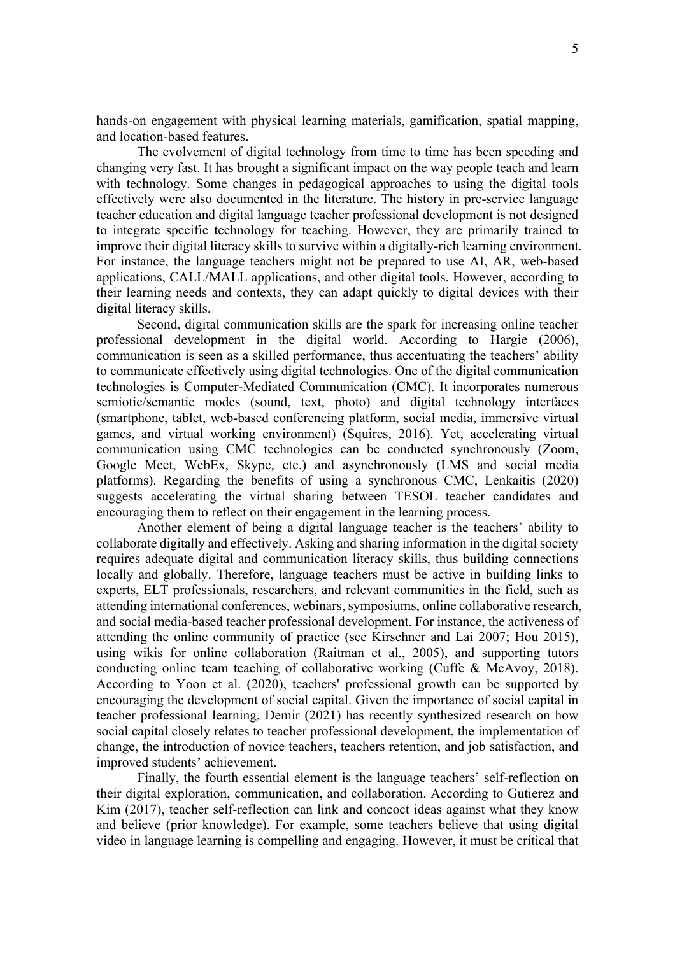hands-on engagement with physical learning materials, gamification, spatial mapping, and location-based features.

The evolvement of digital technology from time to time has been speeding and changing very fast. It has brought a significant impact on the way people teach and learn with technology. Some changes in pedagogical approaches to using the digital tools effectively were also documented in the literature. The history in pre-service language teacher education and digital language teacher professional development is not designed to integrate specific technology for teaching. However, they are primarily trained to improve their digital literacy skills to survive within a digitally-rich learning environment. For instance, the language teachers might not be prepared to use AI, AR, web-based applications, CALL/MALL applications, and other digital tools. However, according to their learning needs and contexts, they can adapt quickly to digital devices with their digital literacy skills.

Second, digital communication skills are the spark for increasing online teacher professional development in the digital world. According to Hargie (2006), communication is seen as a skilled performance, thus accentuating the teachers' ability to communicate effectively using digital technologies. One of the digital communication technologies is Computer-Mediated Communication (CMC). It incorporates numerous semiotic/semantic modes (sound, text, photo) and digital technology interfaces (smartphone, tablet, web-based conferencing platform, social media, immersive virtual games, and virtual working environment) (Squires, 2016). Yet, accelerating virtual communication using CMC technologies can be conducted synchronously (Zoom, Google Meet, WebEx, Skype, etc.) and asynchronously (LMS and social media platforms). Regarding the benefits of using a synchronous CMC, Lenkaitis (2020) suggests accelerating the virtual sharing between TESOL teacher candidates and encouraging them to reflect on their engagement in the learning process.

Another element of being a digital language teacher is the teachers' ability to collaborate digitally and effectively. Asking and sharing information in the digital society requires adequate digital and communication literacy skills, thus building connections locally and globally. Therefore, language teachers must be active in building links to experts, ELT professionals, researchers, and relevant communities in the field, such as attending international conferences, webinars, symposiums, online collaborative research, and social media-based teacher professional development. For instance, the activeness of attending the online community of practice (see Kirschner and Lai 2007; Hou 2015), using wikis for online collaboration (Raitman et al., 2005), and supporting tutors conducting online team teaching of collaborative working (Cuffe & McAvoy, 2018). According to Yoon et al. (2020), teachers' professional growth can be supported by encouraging the development of social capital. Given the importance of social capital in teacher professional learning, Demir (2021) has recently synthesized research on how social capital closely relates to teacher professional development, the implementation of change, the introduction of novice teachers, teachers retention, and job satisfaction, and improved students' achievement.

Finally, the fourth essential element is the language teachers' self-reflection on their digital exploration, communication, and collaboration. According to Gutierez and Kim (2017), teacher self-reflection can link and concoct ideas against what they know and believe (prior knowledge). For example, some teachers believe that using digital video in language learning is compelling and engaging. However, it must be critical that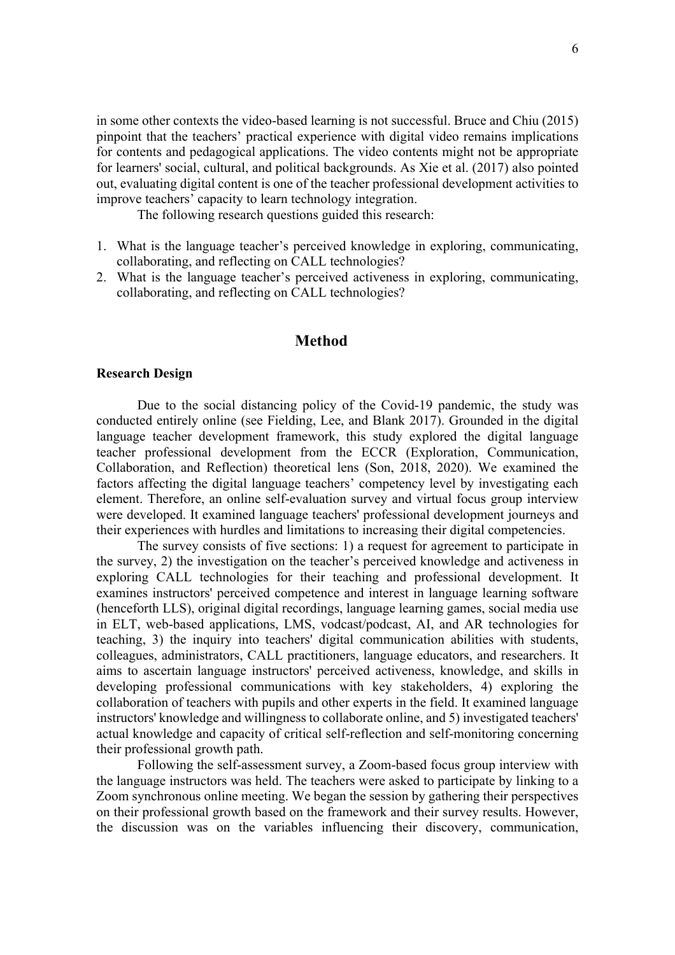in some other contexts the video-based learning is not successful. Bruce and Chiu (2015) pinpoint that the teachers' practical experience with digital video remains implications for contents and pedagogical applications. The video contents might not be appropriate for learners' social, cultural, and political backgrounds. As Xie et al. (2017) also pointed out, evaluating digital content is one of the teacher professional development activities to improve teachers' capacity to learn technology integration.

The following research questions guided this research:

- 1. What is the language teacher's perceived knowledge in exploring, communicating, collaborating, and reflecting on CALL technologies?
- 2. What is the language teacher's perceived activeness in exploring, communicating, collaborating, and reflecting on CALL technologies?

# **Method**

#### **Research Design**

Due to the social distancing policy of the Covid-19 pandemic, the study was conducted entirely online (see Fielding, Lee, and Blank 2017). Grounded in the digital language teacher development framework, this study explored the digital language teacher professional development from the ECCR (Exploration, Communication, Collaboration, and Reflection) theoretical lens (Son, 2018, 2020). We examined the factors affecting the digital language teachers' competency level by investigating each element. Therefore, an online self-evaluation survey and virtual focus group interview were developed. It examined language teachers' professional development journeys and their experiences with hurdles and limitations to increasing their digital competencies.

The survey consists of five sections: 1) a request for agreement to participate in the survey, 2) the investigation on the teacher's perceived knowledge and activeness in exploring CALL technologies for their teaching and professional development. It examines instructors' perceived competence and interest in language learning software (henceforth LLS), original digital recordings, language learning games, social media use in ELT, web-based applications, LMS, vodcast/podcast, AI, and AR technologies for teaching, 3) the inquiry into teachers' digital communication abilities with students, colleagues, administrators, CALL practitioners, language educators, and researchers. It aims to ascertain language instructors' perceived activeness, knowledge, and skills in developing professional communications with key stakeholders, 4) exploring the collaboration of teachers with pupils and other experts in the field. It examined language instructors' knowledge and willingness to collaborate online, and 5) investigated teachers' actual knowledge and capacity of critical self-reflection and self-monitoring concerning their professional growth path.

Following the self-assessment survey, a Zoom-based focus group interview with the language instructors was held. The teachers were asked to participate by linking to a Zoom synchronous online meeting. We began the session by gathering their perspectives on their professional growth based on the framework and their survey results. However, the discussion was on the variables influencing their discovery, communication,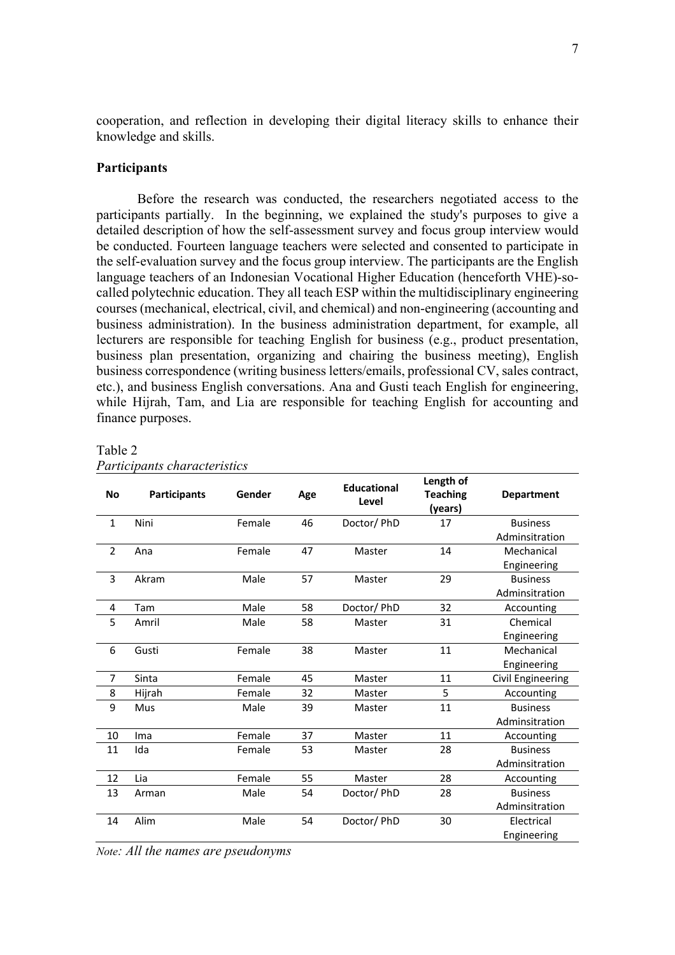cooperation, and reflection in developing their digital literacy skills to enhance their knowledge and skills.

## **Participants**

Before the research was conducted, the researchers negotiated access to the participants partially. In the beginning, we explained the study's purposes to give a detailed description of how the self-assessment survey and focus group interview would be conducted. Fourteen language teachers were selected and consented to participate in the self-evaluation survey and the focus group interview. The participants are the English language teachers of an Indonesian Vocational Higher Education (henceforth VHE)-socalled polytechnic education. They all teach ESP within the multidisciplinary engineering courses (mechanical, electrical, civil, and chemical) and non-engineering (accounting and business administration). In the business administration department, for example, all lecturers are responsible for teaching English for business (e.g., product presentation, business plan presentation, organizing and chairing the business meeting), English business correspondence (writing business letters/emails, professional CV, sales contract, etc.), and business English conversations. Ana and Gusti teach English for engineering, while Hijrah, Tam, and Lia are responsible for teaching English for accounting and finance purposes.

| <b>No</b>    | <b>Participants</b> | Gender | Age | <b>Educational</b><br>Level | Length of<br><b>Teaching</b> | <b>Department</b> |
|--------------|---------------------|--------|-----|-----------------------------|------------------------------|-------------------|
|              |                     |        |     |                             | (years)                      |                   |
| $\mathbf{1}$ | Nini                | Female | 46  | Doctor/PhD                  | 17                           | <b>Business</b>   |
|              |                     |        |     |                             |                              | Adminsitration    |
| 2            | Ana                 | Female | 47  | Master                      | 14                           | Mechanical        |
|              |                     |        |     |                             |                              | Engineering       |
| 3            | Akram               | Male   | 57  | Master                      | 29                           | <b>Business</b>   |
|              |                     |        |     |                             |                              | Adminsitration    |
| 4            | Tam                 | Male   | 58  | Doctor/PhD                  | 32                           | Accounting        |
| 5            | Amril               | Male   | 58  | Master                      | 31                           | Chemical          |
|              |                     |        |     |                             |                              | Engineering       |
| 6            | Gusti               | Female | 38  | Master                      | 11                           | Mechanical        |
|              |                     |        |     |                             |                              | Engineering       |
| 7            | Sinta               | Female | 45  | Master                      | 11                           | Civil Engineering |
| 8            | Hijrah              | Female | 32  | Master                      | 5                            | Accounting        |
| 9            | Mus                 | Male   | 39  | Master                      | 11                           | <b>Business</b>   |
|              |                     |        |     |                             |                              | Adminsitration    |
| 10           | Ima                 | Female | 37  | Master                      | 11                           | Accounting        |
| 11           | Ida                 | Female | 53  | Master                      | 28                           | <b>Business</b>   |
|              |                     |        |     |                             |                              | Adminsitration    |
| 12           | Lia                 | Female | 55  | Master                      | 28                           | Accounting        |
| 13           | Arman               | Male   | 54  | Doctor/PhD                  | 28                           | <b>Business</b>   |
|              |                     |        |     |                             |                              | Adminsitration    |
| 14           | Alim                | Male   | 54  | Doctor/ PhD                 | 30                           | Electrical        |
|              |                     |        |     |                             |                              | Engineering       |

#### Table 2 *Participants characteristics*

*Note: All the names are pseudonyms*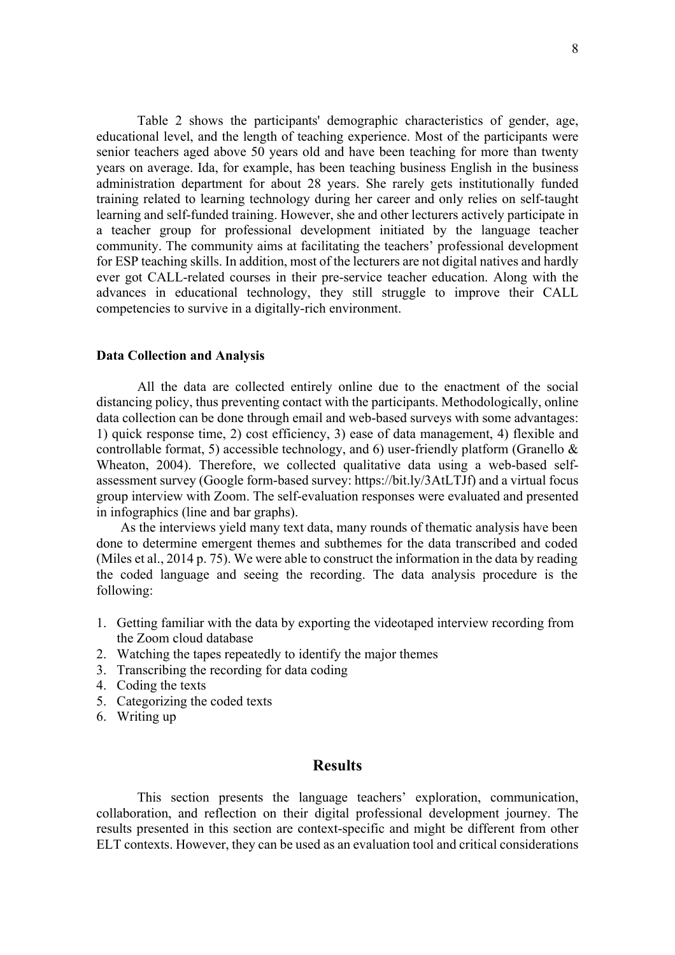Table 2 shows the participants' demographic characteristics of gender, age, educational level, and the length of teaching experience. Most of the participants were senior teachers aged above 50 years old and have been teaching for more than twenty years on average. Ida, for example, has been teaching business English in the business administration department for about 28 years. She rarely gets institutionally funded training related to learning technology during her career and only relies on self-taught learning and self-funded training. However, she and other lecturers actively participate in a teacher group for professional development initiated by the language teacher community. The community aims at facilitating the teachers' professional development for ESP teaching skills. In addition, most of the lecturers are not digital natives and hardly ever got CALL-related courses in their pre-service teacher education. Along with the advances in educational technology, they still struggle to improve their CALL competencies to survive in a digitally-rich environment.

#### **Data Collection and Analysis**

All the data are collected entirely online due to the enactment of the social distancing policy, thus preventing contact with the participants. Methodologically, online data collection can be done through email and web-based surveys with some advantages: 1) quick response time, 2) cost efficiency, 3) ease of data management, 4) flexible and controllable format, 5) accessible technology, and 6) user-friendly platform (Granello  $\&$ Wheaton, 2004). Therefore, we collected qualitative data using a web-based selfassessment survey (Google form-based survey: https://bit.ly/3AtLTJf) and a virtual focus group interview with Zoom. The self-evaluation responses were evaluated and presented in infographics (line and bar graphs).

As the interviews yield many text data, many rounds of thematic analysis have been done to determine emergent themes and subthemes for the data transcribed and coded (Miles et al., 2014 p. 75). We were able to construct the information in the data by reading the coded language and seeing the recording. The data analysis procedure is the following:

- 1. Getting familiar with the data by exporting the videotaped interview recording from the Zoom cloud database
- 2. Watching the tapes repeatedly to identify the major themes
- 3. Transcribing the recording for data coding
- 4. Coding the texts
- 5. Categorizing the coded texts
- 6. Writing up

# **Results**

This section presents the language teachers' exploration, communication, collaboration, and reflection on their digital professional development journey. The results presented in this section are context-specific and might be different from other ELT contexts. However, they can be used as an evaluation tool and critical considerations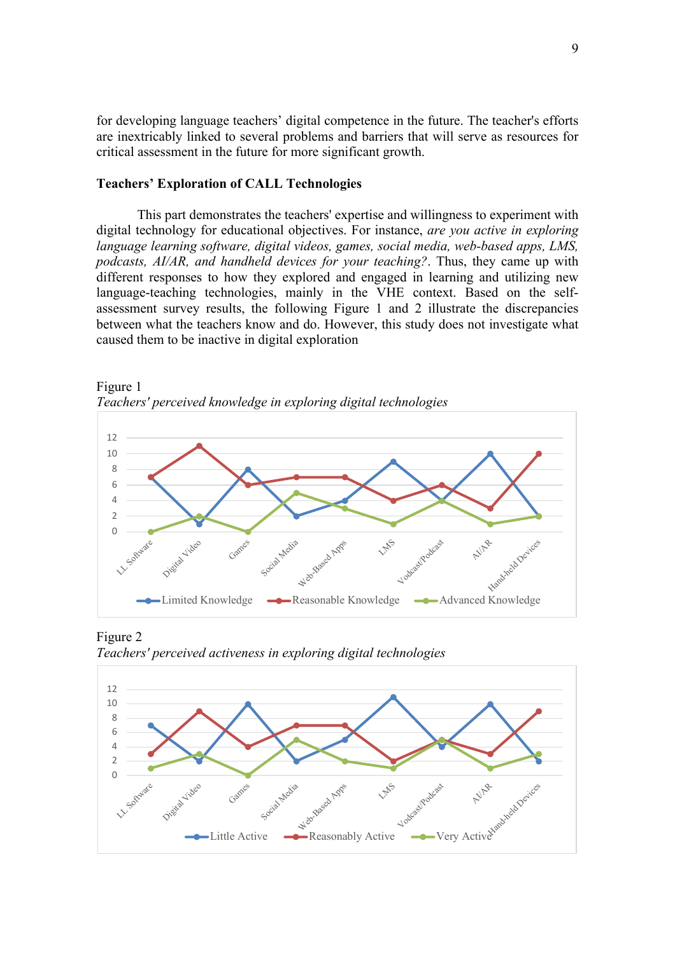for developing language teachers' digital competence in the future. The teacher's efforts are inextricably linked to several problems and barriers that will serve as resources for critical assessment in the future for more significant growth.

### **Teachers' Exploration of CALL Technologies**

This part demonstrates the teachers' expertise and willingness to experiment with digital technology for educational objectives. For instance, *are you active in exploring language learning software, digital videos, games, social media, web-based apps, LMS, podcasts, AI/AR, and handheld devices for your teaching?*. Thus, they came up with different responses to how they explored and engaged in learning and utilizing new language-teaching technologies, mainly in the VHE context. Based on the selfassessment survey results, the following Figure 1 and 2 illustrate the discrepancies between what the teachers know and do. However, this study does not investigate what caused them to be inactive in digital exploration





Figure 2 *Teachers' perceived activeness in exploring digital technologies*

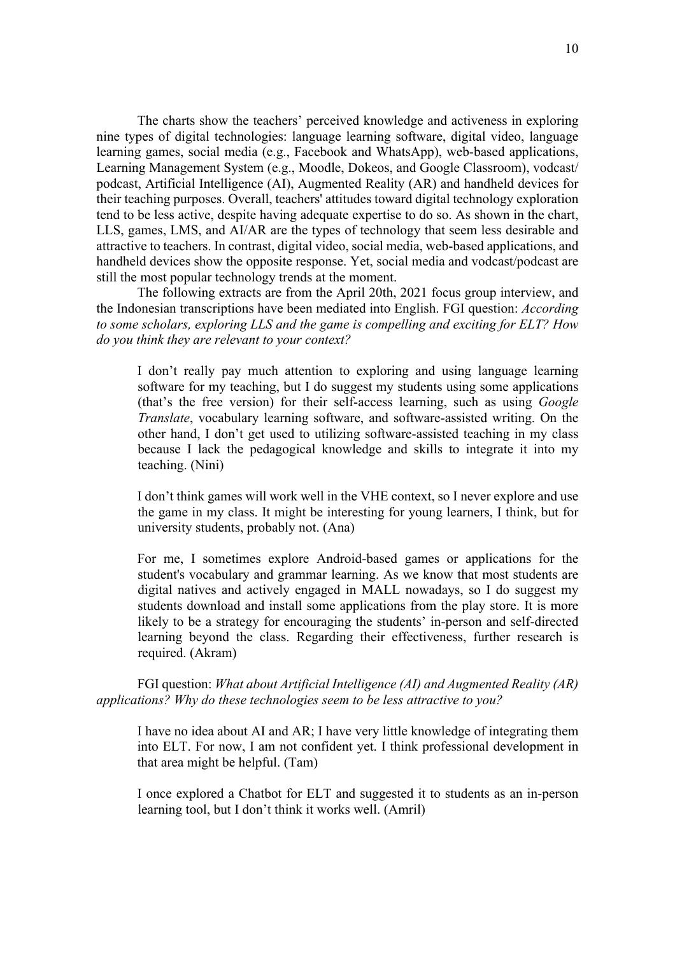The charts show the teachers' perceived knowledge and activeness in exploring nine types of digital technologies: language learning software, digital video, language learning games, social media (e.g., Facebook and WhatsApp), web-based applications, Learning Management System (e.g., Moodle, Dokeos, and Google Classroom), vodcast/ podcast, Artificial Intelligence (AI), Augmented Reality (AR) and handheld devices for their teaching purposes. Overall, teachers' attitudes toward digital technology exploration tend to be less active, despite having adequate expertise to do so. As shown in the chart, LLS, games, LMS, and AI/AR are the types of technology that seem less desirable and attractive to teachers. In contrast, digital video, social media, web-based applications, and handheld devices show the opposite response. Yet, social media and vodcast/podcast are still the most popular technology trends at the moment.

The following extracts are from the April 20th, 2021 focus group interview, and the Indonesian transcriptions have been mediated into English. FGI question: *According to some scholars, exploring LLS and the game is compelling and exciting for ELT? How do you think they are relevant to your context?* 

I don't really pay much attention to exploring and using language learning software for my teaching, but I do suggest my students using some applications (that's the free version) for their self-access learning, such as using *Google Translate*, vocabulary learning software, and software-assisted writing. On the other hand, I don't get used to utilizing software-assisted teaching in my class because I lack the pedagogical knowledge and skills to integrate it into my teaching. (Nini)

I don't think games will work well in the VHE context, so I never explore and use the game in my class. It might be interesting for young learners, I think, but for university students, probably not. (Ana)

For me, I sometimes explore Android-based games or applications for the student's vocabulary and grammar learning. As we know that most students are digital natives and actively engaged in MALL nowadays, so I do suggest my students download and install some applications from the play store. It is more likely to be a strategy for encouraging the students' in-person and self-directed learning beyond the class. Regarding their effectiveness, further research is required. (Akram)

FGI question: *What about Artificial Intelligence (AI) and Augmented Reality (AR) applications? Why do these technologies seem to be less attractive to you?* 

I have no idea about AI and AR; I have very little knowledge of integrating them into ELT. For now, I am not confident yet. I think professional development in that area might be helpful. (Tam)

I once explored a Chatbot for ELT and suggested it to students as an in-person learning tool, but I don't think it works well. (Amril)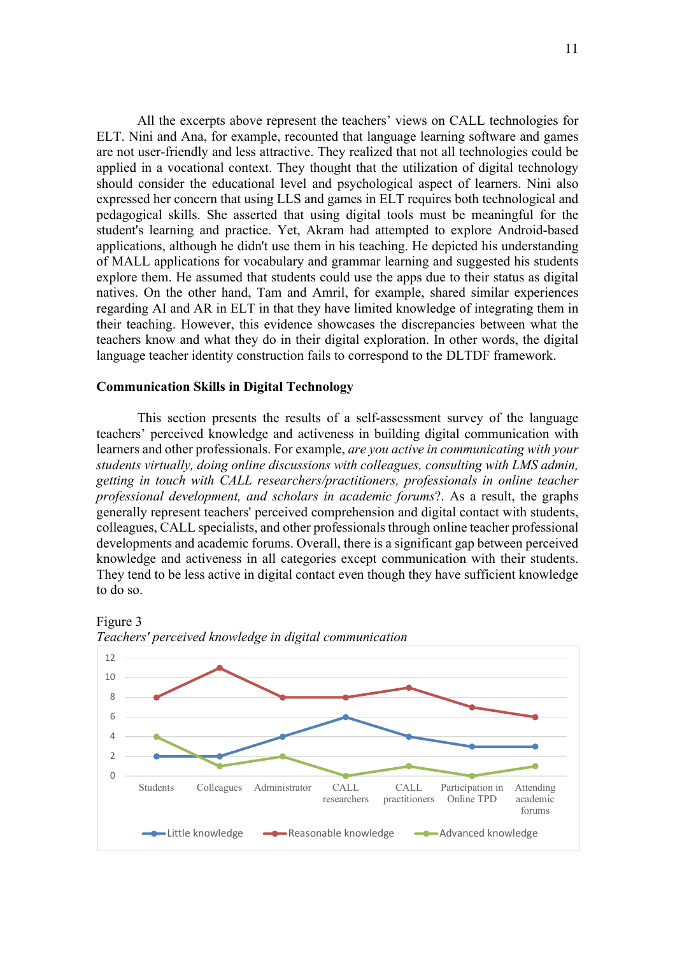All the excerpts above represent the teachers' views on CALL technologies for ELT. Nini and Ana, for example, recounted that language learning software and games are not user-friendly and less attractive. They realized that not all technologies could be applied in a vocational context. They thought that the utilization of digital technology should consider the educational level and psychological aspect of learners. Nini also expressed her concern that using LLS and games in ELT requires both technological and pedagogical skills. She asserted that using digital tools must be meaningful for the student's learning and practice. Yet, Akram had attempted to explore Android-based applications, although he didn't use them in his teaching. He depicted his understanding of MALL applications for vocabulary and grammar learning and suggested his students

explore them. He assumed that students could use the apps due to their status as digital natives. On the other hand, Tam and Amril, for example, shared similar experiences regarding AI and AR in ELT in that they have limited knowledge of integrating them in their teaching. However, this evidence showcases the discrepancies between what the teachers know and what they do in their digital exploration. In other words, the digital language teacher identity construction fails to correspond to the DLTDF framework.

### **Communication Skills in Digital Technology**

This section presents the results of a self-assessment survey of the language teachers' perceived knowledge and activeness in building digital communication with learners and other professionals. For example, *are you active in communicating with your students virtually, doing online discussions with colleagues, consulting with LMS admin, getting in touch with CALL researchers/practitioners, professionals in online teacher professional development, and scholars in academic forums*?. As a result, the graphs generally represent teachers' perceived comprehension and digital contact with students, colleagues, CALL specialists, and other professionals through online teacher professional developments and academic forums. Overall, there is a significant gap between perceived knowledge and activeness in all categories except communication with their students. They tend to be less active in digital contact even though they have sufficient knowledge to do so.





Figure 3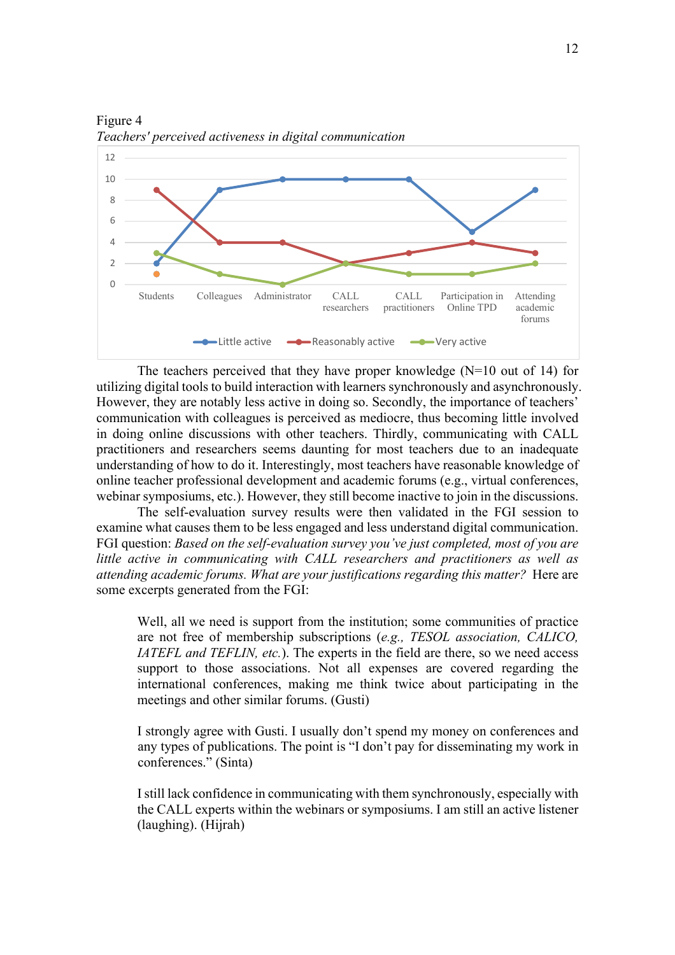

Figure 4 *Teachers' perceived activeness in digital communication*

The teachers perceived that they have proper knowledge  $(N=10)$  out of 14) for utilizing digital tools to build interaction with learners synchronously and asynchronously. However, they are notably less active in doing so. Secondly, the importance of teachers' communication with colleagues is perceived as mediocre, thus becoming little involved in doing online discussions with other teachers. Thirdly, communicating with CALL practitioners and researchers seems daunting for most teachers due to an inadequate understanding of how to do it. Interestingly, most teachers have reasonable knowledge of online teacher professional development and academic forums (e.g., virtual conferences, webinar symposiums, etc.). However, they still become inactive to join in the discussions.

The self-evaluation survey results were then validated in the FGI session to examine what causes them to be less engaged and less understand digital communication. FGI question: *Based on the self-evaluation survey you've just completed, most of you are little active in communicating with CALL researchers and practitioners as well as attending academic forums. What are your justifications regarding this matter?* Here are some excerpts generated from the FGI:

Well, all we need is support from the institution; some communities of practice are not free of membership subscriptions (*e.g., TESOL association, CALICO, IATEFL and TEFLIN, etc.*). The experts in the field are there, so we need access support to those associations. Not all expenses are covered regarding the international conferences, making me think twice about participating in the meetings and other similar forums. (Gusti)

I strongly agree with Gusti. I usually don't spend my money on conferences and any types of publications. The point is "I don't pay for disseminating my work in conferences." (Sinta)

I still lack confidence in communicating with them synchronously, especially with the CALL experts within the webinars or symposiums. I am still an active listener (laughing). (Hijrah)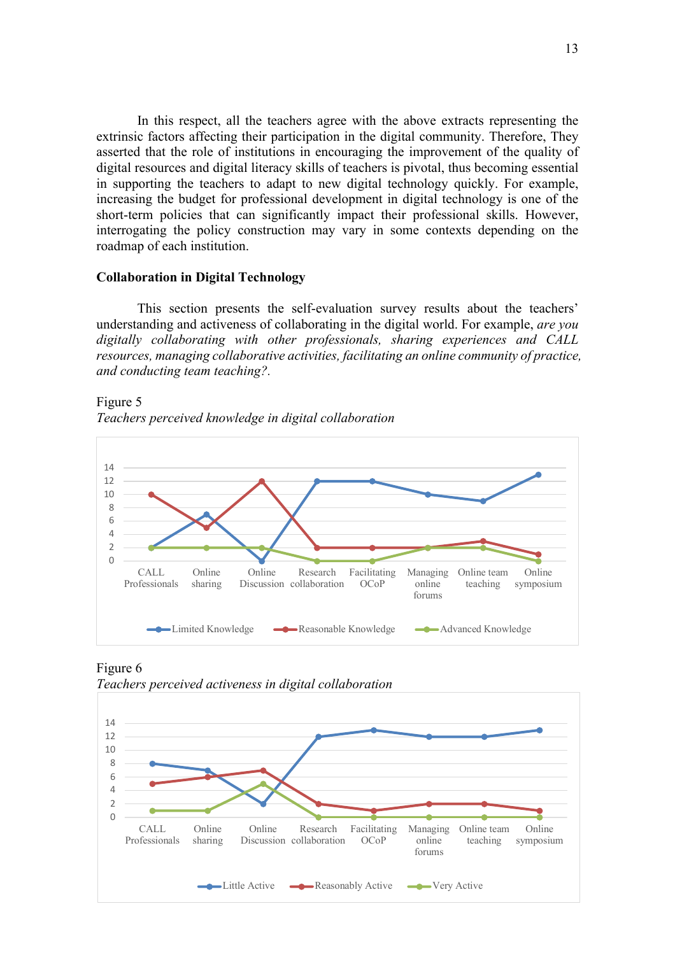In this respect, all the teachers agree with the above extracts representing the extrinsic factors affecting their participation in the digital community. Therefore, They asserted that the role of institutions in encouraging the improvement of the quality of digital resources and digital literacy skills of teachers is pivotal, thus becoming essential in supporting the teachers to adapt to new digital technology quickly. For example, increasing the budget for professional development in digital technology is one of the short-term policies that can significantly impact their professional skills. However, interrogating the policy construction may vary in some contexts depending on the roadmap of each institution.

#### **Collaboration in Digital Technology**

This section presents the self-evaluation survey results about the teachers' understanding and activeness of collaborating in the digital world. For example, *are you digitally collaborating with other professionals, sharing experiences and CALL resources, managing collaborative activities, facilitating an online community of practice, and conducting team teaching?.* 

Figure 5 *Teachers perceived knowledge in digital collaboration*



Figure 6 *Teachers perceived activeness in digital collaboration*

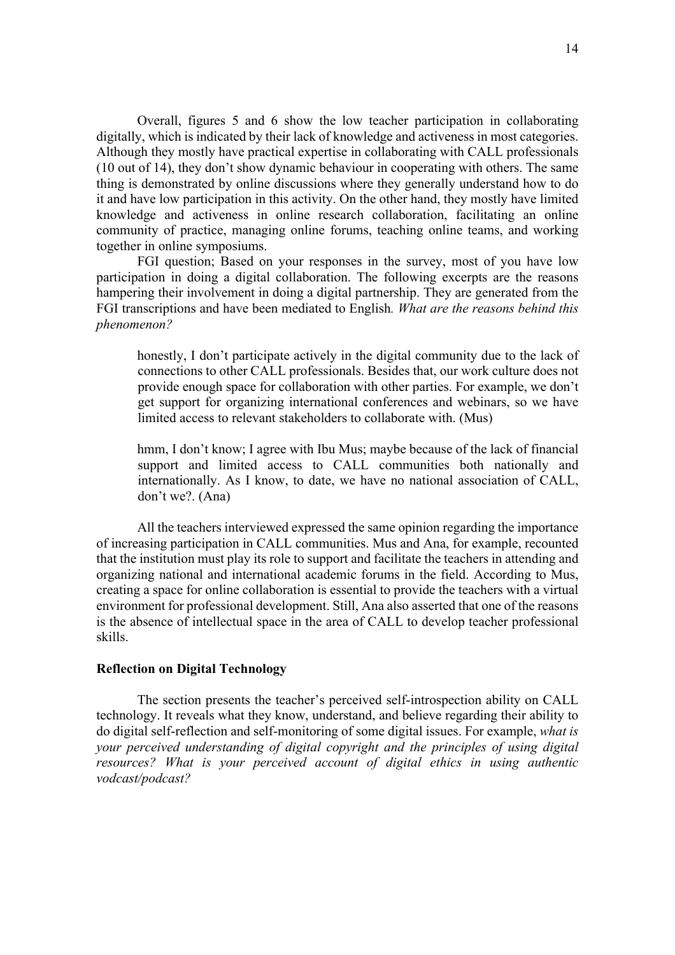Overall, figures 5 and 6 show the low teacher participation in collaborating digitally, which is indicated by their lack of knowledge and activeness in most categories. Although they mostly have practical expertise in collaborating with CALL professionals (10 out of 14), they don't show dynamic behaviour in cooperating with others. The same thing is demonstrated by online discussions where they generally understand how to do it and have low participation in this activity. On the other hand, they mostly have limited knowledge and activeness in online research collaboration, facilitating an online community of practice, managing online forums, teaching online teams, and working together in online symposiums.

FGI question; Based on your responses in the survey, most of you have low participation in doing a digital collaboration. The following excerpts are the reasons hampering their involvement in doing a digital partnership. They are generated from the FGI transcriptions and have been mediated to English*. What are the reasons behind this phenomenon?* 

honestly, I don't participate actively in the digital community due to the lack of connections to other CALL professionals. Besides that, our work culture does not provide enough space for collaboration with other parties. For example, we don't get support for organizing international conferences and webinars, so we have limited access to relevant stakeholders to collaborate with. (Mus)

hmm, I don't know; I agree with Ibu Mus; maybe because of the lack of financial support and limited access to CALL communities both nationally and internationally. As I know, to date, we have no national association of CALL, don't we?. (Ana)

All the teachers interviewed expressed the same opinion regarding the importance of increasing participation in CALL communities. Mus and Ana, for example, recounted that the institution must play its role to support and facilitate the teachers in attending and organizing national and international academic forums in the field. According to Mus, creating a space for online collaboration is essential to provide the teachers with a virtual environment for professional development. Still, Ana also asserted that one of the reasons is the absence of intellectual space in the area of CALL to develop teacher professional skills.

### **Reflection on Digital Technology**

The section presents the teacher's perceived self-introspection ability on CALL technology. It reveals what they know, understand, and believe regarding their ability to do digital self-reflection and self-monitoring of some digital issues. For example, *what is your perceived understanding of digital copyright and the principles of using digital resources? What is your perceived account of digital ethics in using authentic vodcast/podcast?*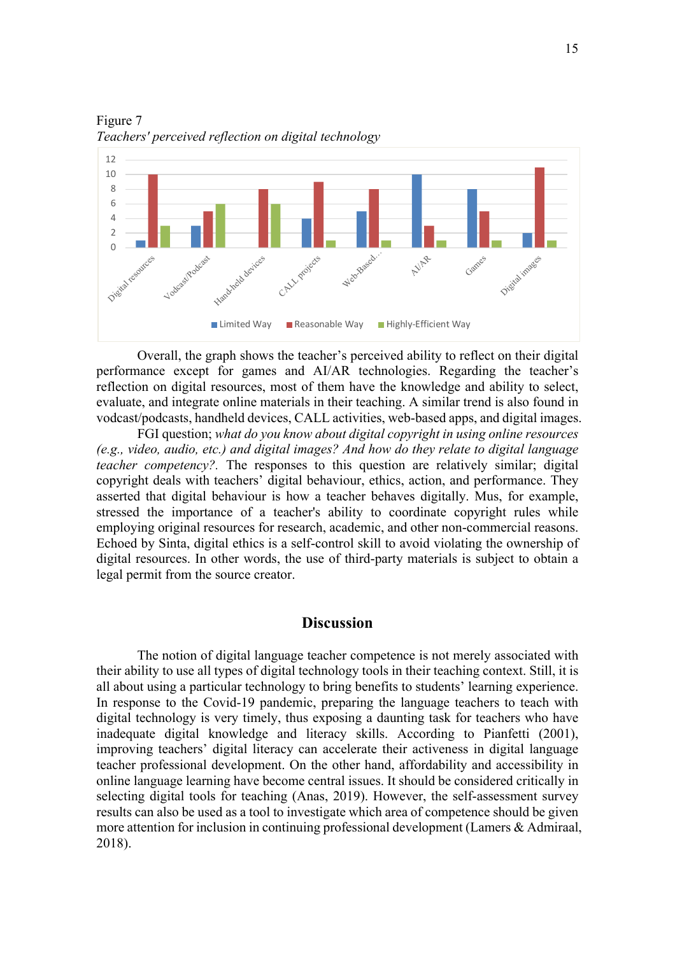

Figure 7 *Teachers' perceived reflection on digital technology*

Overall, the graph shows the teacher's perceived ability to reflect on their digital performance except for games and AI/AR technologies. Regarding the teacher's reflection on digital resources, most of them have the knowledge and ability to select, evaluate, and integrate online materials in their teaching. A similar trend is also found in vodcast/podcasts, handheld devices, CALL activities, web-based apps, and digital images.

FGI question; *what do you know about digital copyright in using online resources (e.g., video, audio, etc.) and digital images? And how do they relate to digital language teacher competency?.* The responses to this question are relatively similar; digital copyright deals with teachers' digital behaviour, ethics, action, and performance. They asserted that digital behaviour is how a teacher behaves digitally. Mus, for example, stressed the importance of a teacher's ability to coordinate copyright rules while employing original resources for research, academic, and other non-commercial reasons. Echoed by Sinta, digital ethics is a self-control skill to avoid violating the ownership of digital resources. In other words, the use of third-party materials is subject to obtain a legal permit from the source creator.

### **Discussion**

The notion of digital language teacher competence is not merely associated with their ability to use all types of digital technology tools in their teaching context. Still, it is all about using a particular technology to bring benefits to students' learning experience. In response to the Covid-19 pandemic, preparing the language teachers to teach with digital technology is very timely, thus exposing a daunting task for teachers who have inadequate digital knowledge and literacy skills. According to Pianfetti (2001), improving teachers' digital literacy can accelerate their activeness in digital language teacher professional development. On the other hand, affordability and accessibility in online language learning have become central issues. It should be considered critically in selecting digital tools for teaching (Anas, 2019). However, the self-assessment survey results can also be used as a tool to investigate which area of competence should be given more attention for inclusion in continuing professional development (Lamers & Admiraal, 2018).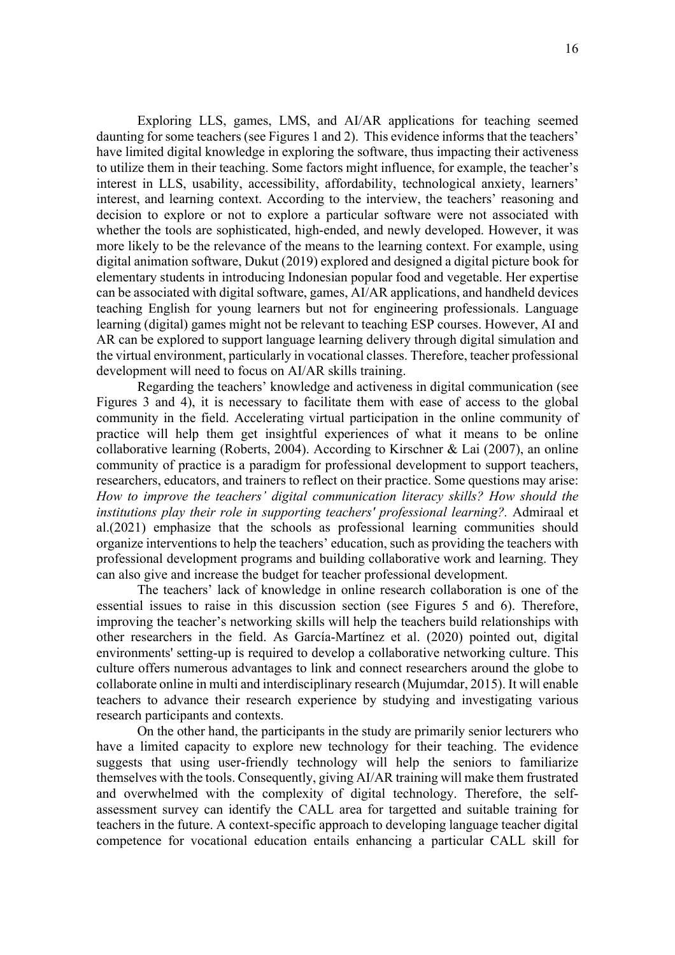Exploring LLS, games, LMS, and AI/AR applications for teaching seemed daunting for some teachers (see Figures 1 and 2). This evidence informs that the teachers' have limited digital knowledge in exploring the software, thus impacting their activeness to utilize them in their teaching. Some factors might influence, for example, the teacher's interest in LLS, usability, accessibility, affordability, technological anxiety, learners' interest, and learning context. According to the interview, the teachers' reasoning and decision to explore or not to explore a particular software were not associated with whether the tools are sophisticated, high-ended, and newly developed. However, it was more likely to be the relevance of the means to the learning context. For example, using digital animation software, Dukut (2019) explored and designed a digital picture book for elementary students in introducing Indonesian popular food and vegetable. Her expertise can be associated with digital software, games, AI/AR applications, and handheld devices teaching English for young learners but not for engineering professionals. Language learning (digital) games might not be relevant to teaching ESP courses. However, AI and AR can be explored to support language learning delivery through digital simulation and the virtual environment, particularly in vocational classes. Therefore, teacher professional development will need to focus on AI/AR skills training.

Regarding the teachers' knowledge and activeness in digital communication (see Figures 3 and 4), it is necessary to facilitate them with ease of access to the global community in the field. Accelerating virtual participation in the online community of practice will help them get insightful experiences of what it means to be online collaborative learning (Roberts, 2004). According to Kirschner & Lai (2007), an online community of practice is a paradigm for professional development to support teachers, researchers, educators, and trainers to reflect on their practice. Some questions may arise: *How to improve the teachers' digital communication literacy skills? How should the institutions play their role in supporting teachers' professional learning?.* Admiraal et al.(2021) emphasize that the schools as professional learning communities should organize interventions to help the teachers' education, such as providing the teachers with professional development programs and building collaborative work and learning. They can also give and increase the budget for teacher professional development.

The teachers' lack of knowledge in online research collaboration is one of the essential issues to raise in this discussion section (see Figures 5 and 6). Therefore, improving the teacher's networking skills will help the teachers build relationships with other researchers in the field. As García-Martínez et al. (2020) pointed out, digital environments' setting-up is required to develop a collaborative networking culture. This culture offers numerous advantages to link and connect researchers around the globe to collaborate online in multi and interdisciplinary research (Mujumdar, 2015). It will enable teachers to advance their research experience by studying and investigating various research participants and contexts.

On the other hand, the participants in the study are primarily senior lecturers who have a limited capacity to explore new technology for their teaching. The evidence suggests that using user-friendly technology will help the seniors to familiarize themselves with the tools. Consequently, giving AI/AR training will make them frustrated and overwhelmed with the complexity of digital technology. Therefore, the selfassessment survey can identify the CALL area for targetted and suitable training for teachers in the future. A context-specific approach to developing language teacher digital competence for vocational education entails enhancing a particular CALL skill for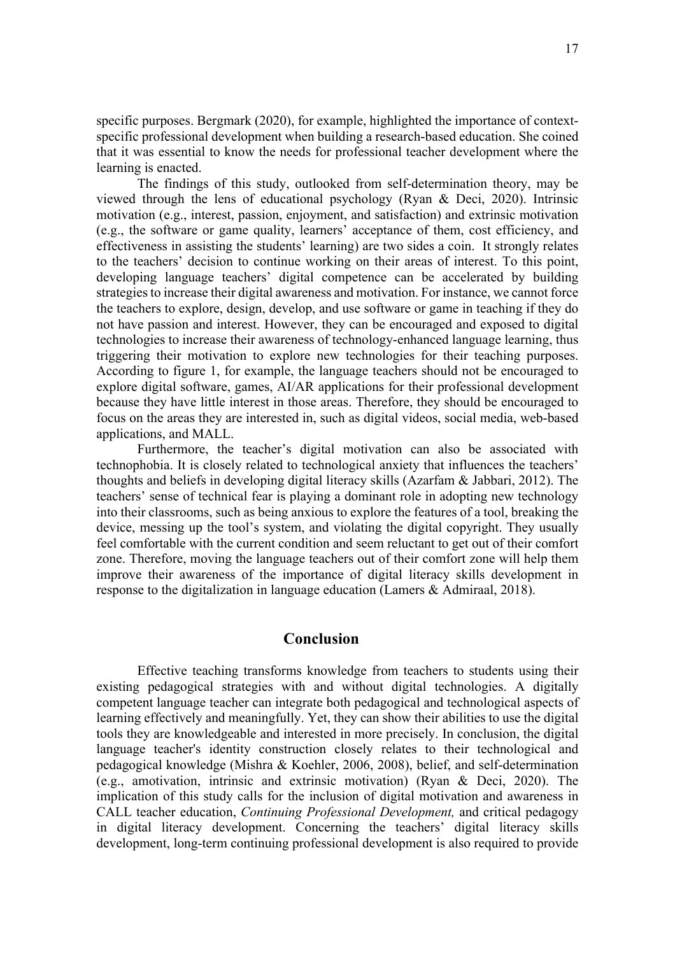specific purposes. Bergmark (2020), for example, highlighted the importance of contextspecific professional development when building a research-based education. She coined that it was essential to know the needs for professional teacher development where the learning is enacted.

The findings of this study, outlooked from self-determination theory, may be viewed through the lens of educational psychology (Ryan & Deci, 2020). Intrinsic motivation (e.g., interest, passion, enjoyment, and satisfaction) and extrinsic motivation (e.g., the software or game quality, learners' acceptance of them, cost efficiency, and effectiveness in assisting the students' learning) are two sides a coin. It strongly relates to the teachers' decision to continue working on their areas of interest. To this point, developing language teachers' digital competence can be accelerated by building strategies to increase their digital awareness and motivation. For instance, we cannot force the teachers to explore, design, develop, and use software or game in teaching if they do not have passion and interest. However, they can be encouraged and exposed to digital technologies to increase their awareness of technology-enhanced language learning, thus triggering their motivation to explore new technologies for their teaching purposes. According to figure 1, for example, the language teachers should not be encouraged to explore digital software, games, AI/AR applications for their professional development because they have little interest in those areas. Therefore, they should be encouraged to focus on the areas they are interested in, such as digital videos, social media, web-based applications, and MALL.

Furthermore, the teacher's digital motivation can also be associated with technophobia. It is closely related to technological anxiety that influences the teachers' thoughts and beliefs in developing digital literacy skills (Azarfam & Jabbari, 2012). The teachers' sense of technical fear is playing a dominant role in adopting new technology into their classrooms, such as being anxious to explore the features of a tool, breaking the device, messing up the tool's system, and violating the digital copyright. They usually feel comfortable with the current condition and seem reluctant to get out of their comfort zone. Therefore, moving the language teachers out of their comfort zone will help them improve their awareness of the importance of digital literacy skills development in response to the digitalization in language education (Lamers & Admiraal, 2018).

# **Conclusion**

Effective teaching transforms knowledge from teachers to students using their existing pedagogical strategies with and without digital technologies. A digitally competent language teacher can integrate both pedagogical and technological aspects of learning effectively and meaningfully. Yet, they can show their abilities to use the digital tools they are knowledgeable and interested in more precisely. In conclusion, the digital language teacher's identity construction closely relates to their technological and pedagogical knowledge (Mishra & Koehler, 2006, 2008), belief, and self-determination (e.g., amotivation, intrinsic and extrinsic motivation) (Ryan & Deci, 2020). The implication of this study calls for the inclusion of digital motivation and awareness in CALL teacher education, *Continuing Professional Development,* and critical pedagogy in digital literacy development. Concerning the teachers' digital literacy skills development, long-term continuing professional development is also required to provide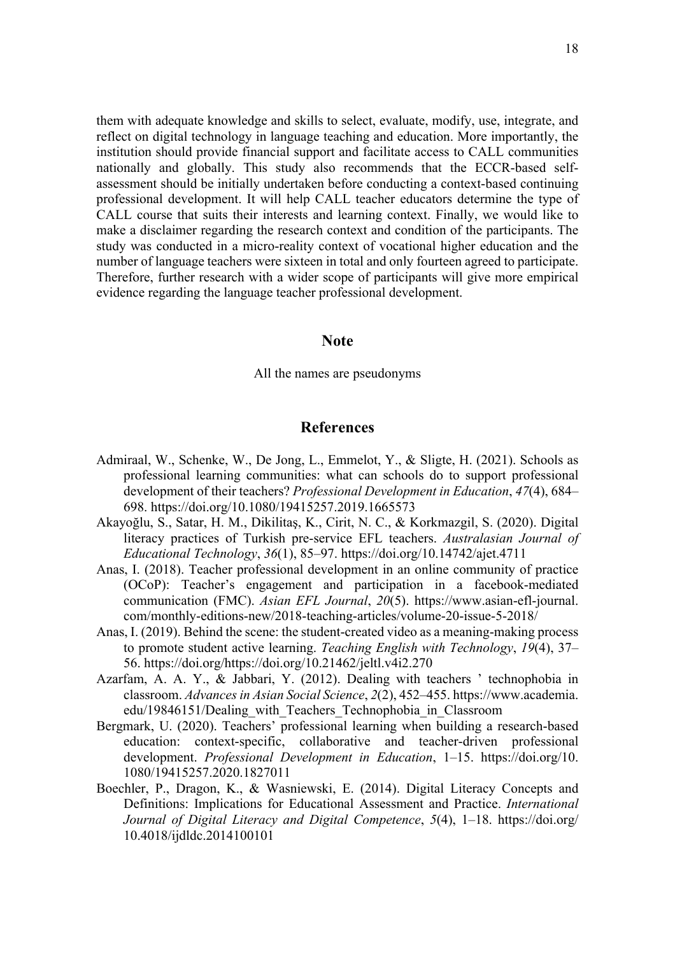them with adequate knowledge and skills to select, evaluate, modify, use, integrate, and reflect on digital technology in language teaching and education. More importantly, the institution should provide financial support and facilitate access to CALL communities nationally and globally. This study also recommends that the ECCR-based selfassessment should be initially undertaken before conducting a context-based continuing professional development. It will help CALL teacher educators determine the type of CALL course that suits their interests and learning context. Finally, we would like to make a disclaimer regarding the research context and condition of the participants. The study was conducted in a micro-reality context of vocational higher education and the number of language teachers were sixteen in total and only fourteen agreed to participate. Therefore, further research with a wider scope of participants will give more empirical evidence regarding the language teacher professional development.

### **Note**

All the names are pseudonyms

## **References**

- Admiraal, W., Schenke, W., De Jong, L., Emmelot, Y., & Sligte, H. (2021). Schools as professional learning communities: what can schools do to support professional development of their teachers? *Professional Development in Education*, *47*(4), 684– 698. https://doi.org/10.1080/19415257.2019.1665573
- Akayoğlu, S., Satar, H. M., Dikilitaş, K., Cirit, N. C., & Korkmazgil, S. (2020). Digital literacy practices of Turkish pre-service EFL teachers. *Australasian Journal of Educational Technology*, *36*(1), 85–97. https://doi.org/10.14742/ajet.4711
- Anas, I. (2018). Teacher professional development in an online community of practice (OCoP): Teacher's engagement and participation in a facebook-mediated communication (FMC). *Asian EFL Journal*, *20*(5). https://www.asian-efl-journal. com/monthly-editions-new/2018-teaching-articles/volume-20-issue-5-2018/
- Anas, I. (2019). Behind the scene: the student-created video as a meaning-making process to promote student active learning. *Teaching English with Technology*, *19*(4), 37– 56. https://doi.org/https://doi.org/10.21462/jeltl.v4i2.270
- Azarfam, A. A. Y., & Jabbari, Y. (2012). Dealing with teachers ' technophobia in classroom. *Advances in Asian Social Science*, *2*(2), 452–455. https://www.academia. edu/19846151/Dealing\_with\_Teachers\_Technophobia\_in\_Classroom
- Bergmark, U. (2020). Teachers' professional learning when building a research-based education: context-specific, collaborative and teacher-driven professional development. *Professional Development in Education*, 1–15. https://doi.org/10. 1080/19415257.2020.1827011
- Boechler, P., Dragon, K., & Wasniewski, E. (2014). Digital Literacy Concepts and Definitions: Implications for Educational Assessment and Practice. *International Journal of Digital Literacy and Digital Competence*, *5*(4), 1–18. https://doi.org/ 10.4018/ijdldc.2014100101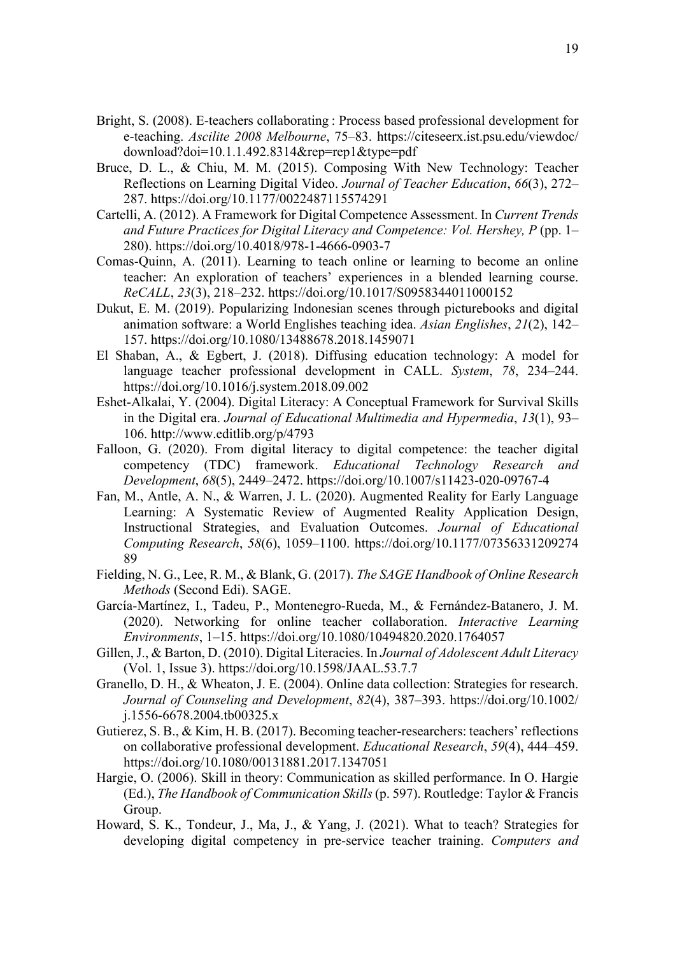- Bright, S. (2008). E-teachers collaborating : Process based professional development for e-teaching. *Ascilite 2008 Melbourne*, 75–83. https://citeseerx.ist.psu.edu/viewdoc/ download?doi=10.1.1.492.8314&rep=rep1&type=pdf
- Bruce, D. L., & Chiu, M. M. (2015). Composing With New Technology: Teacher Reflections on Learning Digital Video. *Journal of Teacher Education*, *66*(3), 272– 287. https://doi.org/10.1177/0022487115574291
- Cartelli, A. (2012). A Framework for Digital Competence Assessment. In *Current Trends and Future Practices for Digital Literacy and Competence: Vol. Hershey, P* (pp. 1– 280). https://doi.org/10.4018/978-1-4666-0903-7
- Comas-Quinn, A. (2011). Learning to teach online or learning to become an online teacher: An exploration of teachers' experiences in a blended learning course. *ReCALL*, *23*(3), 218–232. https://doi.org/10.1017/S0958344011000152
- Dukut, E. M. (2019). Popularizing Indonesian scenes through picturebooks and digital animation software: a World Englishes teaching idea. *Asian Englishes*, *21*(2), 142– 157. https://doi.org/10.1080/13488678.2018.1459071
- El Shaban, A., & Egbert, J. (2018). Diffusing education technology: A model for language teacher professional development in CALL. *System*, *78*, 234–244. https://doi.org/10.1016/j.system.2018.09.002
- Eshet-Alkalai, Y. (2004). Digital Literacy: A Conceptual Framework for Survival Skills in the Digital era. *Journal of Educational Multimedia and Hypermedia*, *13*(1), 93– 106. http://www.editlib.org/p/4793
- Falloon, G. (2020). From digital literacy to digital competence: the teacher digital competency (TDC) framework. *Educational Technology Research and Development*, *68*(5), 2449–2472. https://doi.org/10.1007/s11423-020-09767-4
- Fan, M., Antle, A. N., & Warren, J. L. (2020). Augmented Reality for Early Language Learning: A Systematic Review of Augmented Reality Application Design, Instructional Strategies, and Evaluation Outcomes. *Journal of Educational Computing Research*, *58*(6), 1059–1100. https://doi.org/10.1177/07356331209274 89
- Fielding, N. G., Lee, R. M., & Blank, G. (2017). *The SAGE Handbook of Online Research Methods* (Second Edi). SAGE.
- García-Martínez, I., Tadeu, P., Montenegro-Rueda, M., & Fernández-Batanero, J. M. (2020). Networking for online teacher collaboration. *Interactive Learning Environments*, 1–15. https://doi.org/10.1080/10494820.2020.1764057
- Gillen, J., & Barton, D. (2010). Digital Literacies. In *Journal of Adolescent Adult Literacy* (Vol. 1, Issue 3). https://doi.org/10.1598/JAAL.53.7.7
- Granello, D. H., & Wheaton, J. E. (2004). Online data collection: Strategies for research. *Journal of Counseling and Development*, *82*(4), 387–393. https://doi.org/10.1002/ j.1556-6678.2004.tb00325.x
- Gutierez, S. B., & Kim, H. B. (2017). Becoming teacher-researchers: teachers' reflections on collaborative professional development. *Educational Research*, *59*(4), 444–459. https://doi.org/10.1080/00131881.2017.1347051
- Hargie, O. (2006). Skill in theory: Communication as skilled performance. In O. Hargie (Ed.), *The Handbook of Communication Skills* (p. 597). Routledge: Taylor & Francis Group.
- Howard, S. K., Tondeur, J., Ma, J., & Yang, J. (2021). What to teach? Strategies for developing digital competency in pre-service teacher training. *Computers and*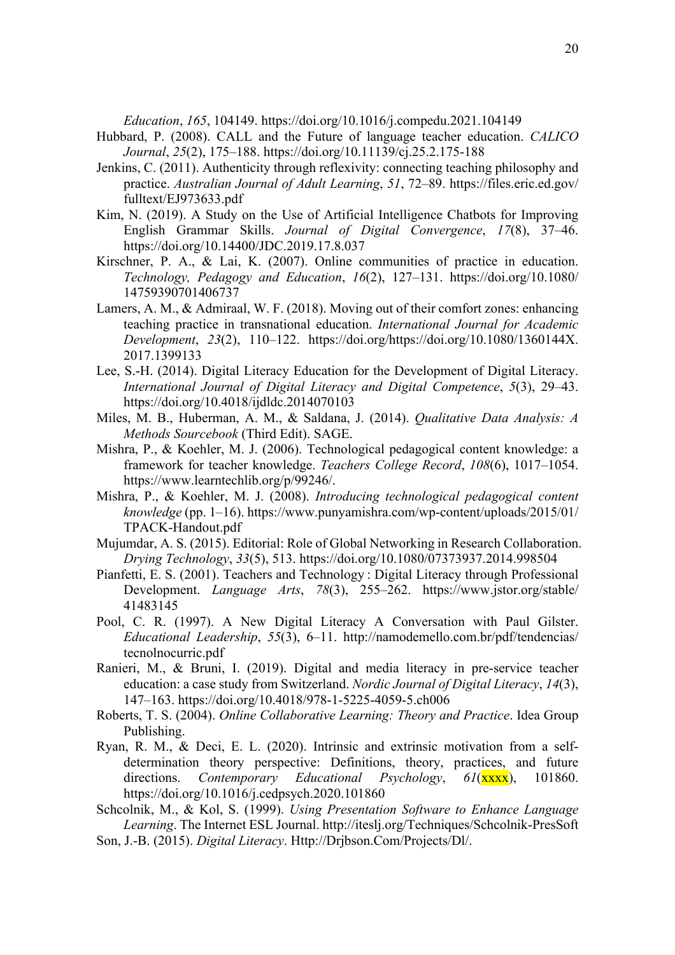*Education*, *165*, 104149. https://doi.org/10.1016/j.compedu.2021.104149

- Hubbard, P. (2008). CALL and the Future of language teacher education. *CALICO Journal*, *25*(2), 175–188. https://doi.org/10.11139/cj.25.2.175-188
- Jenkins, C. (2011). Authenticity through reflexivity: connecting teaching philosophy and practice. *Australian Journal of Adult Learning*, *51*, 72–89. https://files.eric.ed.gov/ fulltext/EJ973633.pdf
- Kim, N. (2019). A Study on the Use of Artificial Intelligence Chatbots for Improving English Grammar Skills. *Journal of Digital Convergence*, *17*(8), 37–46. https://doi.org/10.14400/JDC.2019.17.8.037
- Kirschner, P. A., & Lai, K. (2007). Online communities of practice in education. *Technology, Pedagogy and Education*, *16*(2), 127–131. https://doi.org/10.1080/ 14759390701406737
- Lamers, A. M., & Admiraal, W. F. (2018). Moving out of their comfort zones: enhancing teaching practice in transnational education. *International Journal for Academic Development*, *23*(2), 110–122. https://doi.org/https://doi.org/10.1080/1360144X. 2017.1399133
- Lee, S.-H. (2014). Digital Literacy Education for the Development of Digital Literacy. *International Journal of Digital Literacy and Digital Competence*, *5*(3), 29–43. https://doi.org/10.4018/ijdldc.2014070103
- Miles, M. B., Huberman, A. M., & Saldana, J. (2014). *Qualitative Data Analysis: A Methods Sourcebook* (Third Edit). SAGE.
- Mishra, P., & Koehler, M. J. (2006). Technological pedagogical content knowledge: a framework for teacher knowledge. *Teachers College Record*, *108*(6), 1017–1054. https://www.learntechlib.org/p/99246/.
- Mishra, P., & Koehler, M. J. (2008). *Introducing technological pedagogical content knowledge* (pp. 1–16). https://www.punyamishra.com/wp-content/uploads/2015/01/ TPACK-Handout.pdf
- Mujumdar, A. S. (2015). Editorial: Role of Global Networking in Research Collaboration. *Drying Technology*, *33*(5), 513. https://doi.org/10.1080/07373937.2014.998504
- Pianfetti, E. S. (2001). Teachers and Technology : Digital Literacy through Professional Development. *Language Arts*, *78*(3), 255–262. https://www.jstor.org/stable/ 41483145
- Pool, C. R. (1997). A New Digital Literacy A Conversation with Paul Gilster. *Educational Leadership*, *55*(3), 6–11. http://namodemello.com.br/pdf/tendencias/ tecnolnocurric.pdf
- Ranieri, M., & Bruni, I. (2019). Digital and media literacy in pre-service teacher education: a case study from Switzerland. *Nordic Journal of Digital Literacy*, *14*(3), 147–163. https://doi.org/10.4018/978-1-5225-4059-5.ch006
- Roberts, T. S. (2004). *Online Collaborative Learning: Theory and Practice*. Idea Group Publishing.
- Ryan, R. M., & Deci, E. L. (2020). Intrinsic and extrinsic motivation from a selfdetermination theory perspective: Definitions, theory, practices, and future directions. *Contemporary Educational Psychology*,  $61(xxxx)$ , 101860. https://doi.org/10.1016/j.cedpsych.2020.101860
- Schcolnik, M., & Kol, S. (1999). *Using Presentation Software to Enhance Language Learning*. The Internet ESL Journal. http://iteslj.org/Techniques/Schcolnik-PresSoft
- Son, J.-B. (2015). *Digital Literacy*. Http://Drjbson.Com/Projects/Dl/.